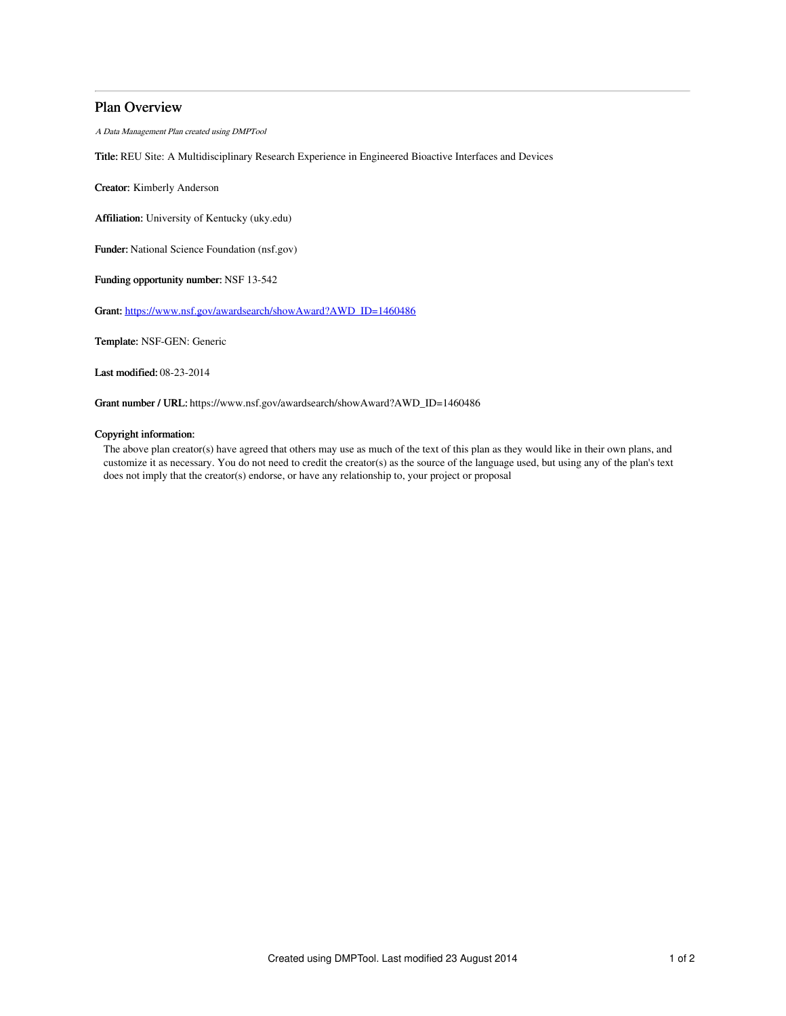# Plan Overview

A Data Management Plan created using DMPTool

Title: REU Site: A Multidisciplinary Research Experience in Engineered Bioactive Interfaces and Devices

Creator: Kimberly Anderson

Affiliation: University of Kentucky (uky.edu)

Funder: National Science Foundation (nsf.gov)

Funding opportunity number: NSF 13-542

Grant: [https://www.nsf.gov/awardsearch/showAward?AWD\\_ID=1460486](https://www.nsf.gov/awardsearch/showAward?AWD_ID=1460486)

Template: NSF-GEN: Generic

Last modified: 08-23-2014

Grant number / URL: https://www.nsf.gov/awardsearch/showAward?AWD\_ID=1460486

## Copyright information:

The above plan creator(s) have agreed that others may use as much of the text of this plan as they would like in their own plans, and customize it as necessary. You do not need to credit the creator(s) as the source of the language used, but using any of the plan's text does not imply that the creator(s) endorse, or have any relationship to, your project or proposal